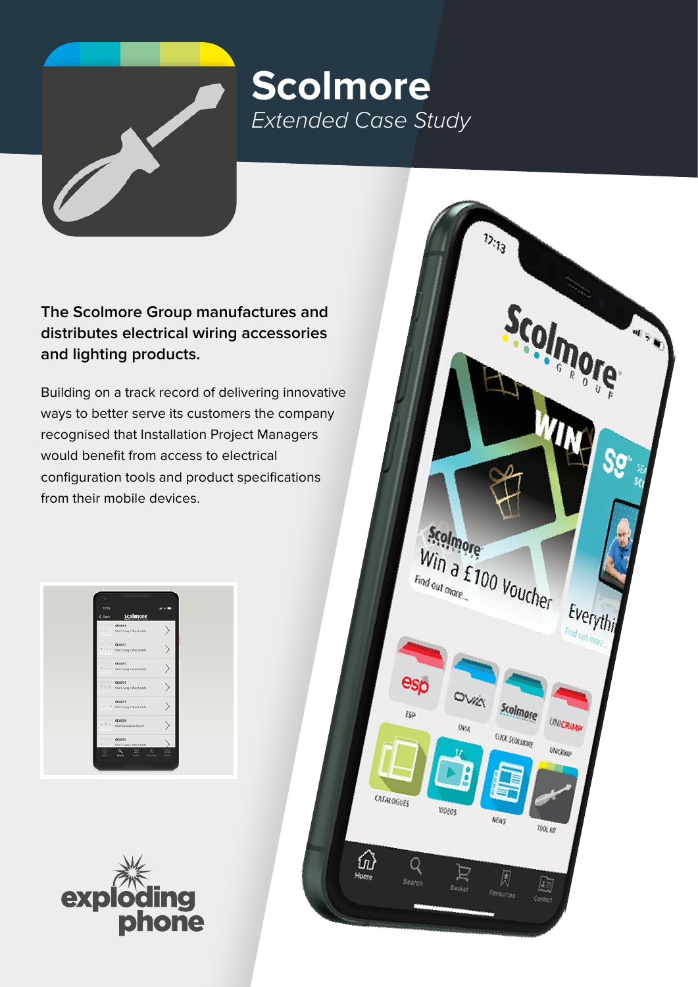## **Scolmore** *Extended Case Study*

**The Scolmore Group manufactures and distributes electrical wiring accessories and lighting products.**

Building on a track record of delivering innovative ways to better serve its customers the company recognised that Installation Project Managers would benefit from access to electrical configuration tools and product specifications from their mobile devices.

| 11.79<br>$&$ lack | Scolmore                                               |  |
|-------------------|--------------------------------------------------------|--|
| $1 - 1$<br>$\tau$ | <b>CCA310</b><br>Still 1 Gong 1 Way Switch             |  |
|                   | <b>CCA311</b><br>* 1 * Still 1 Gong 2 Way Sreitsh      |  |
| $\sim$            | <b>CCA012</b><br>134.2 Seng 2 Way Switch               |  |
|                   | <b>CCA013</b>                                          |  |
|                   | <b>CCA019</b><br>· I · · · · · SSA & Gong 2 Way Switch |  |
| $-11.1$           | <b>CCA020</b><br>134 Fan Ingletion South               |  |
| ×.                | <b>CCA021</b><br>104.1 Sing 3 Pole Switch              |  |



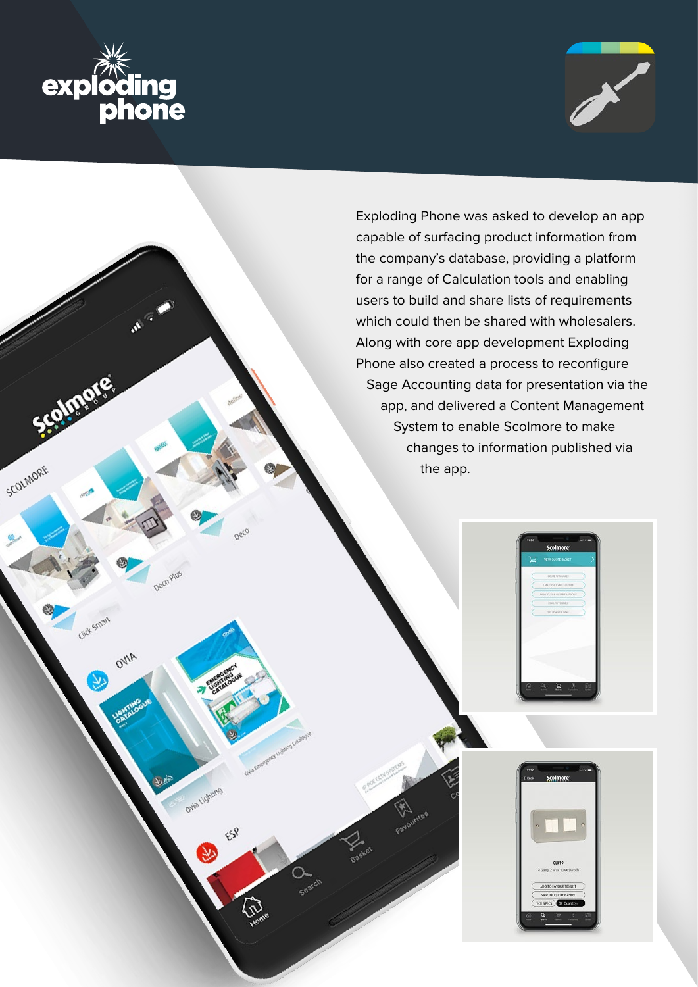

Deco

Ovia Lighting

ESP

OVIA

SCOLMORE



Exploding Phone was asked to develop an app capable of surfacing product information from the company's database, providing a platform for a range of Calculation tools and enabling users to build and share lists of requirements which could then be shared with wholesalers. Along with core app development Exploding Phone also created a process to reconfigure Sage Accounting data for presentation via the app, and delivered a Content Management System to enable Scolmore to make changes to information published via the app.

**CLO19**